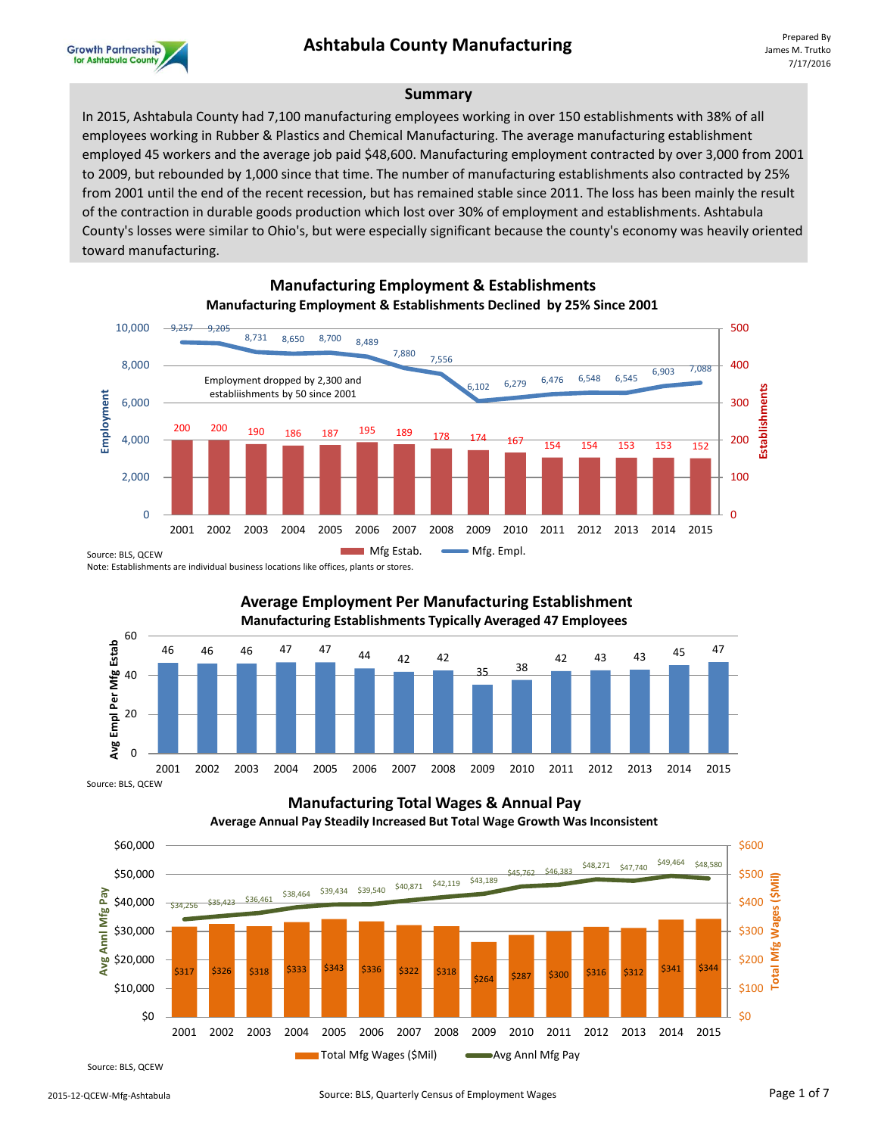

#### **Summary**

In 2015, Ashtabula County had 7,100 manufacturing employees working in over 150 establishments with 38% of all employees working in Rubber & Plastics and Chemical Manufacturing. The average manufacturing establishment employed 45 workers and the average job paid \$48,600. Manufacturing employment contracted by over 3,000 from 2001 to 2009, but rebounded by 1,000 since that time. The number of manufacturing establishments also contracted by 25% from 2001 until the end of the recent recession, but has remained stable since 2011. The loss has been mainly the result of the contraction in durable goods production which lost over 30% of employment and establishments. Ashtabula County's losses were similar to Ohio's, but were especially significant because the county's economy was heavily oriented toward manufacturing.



**Manufacturing Employment & Establishments Manufacturing Employment & Establishments Declined by 25% Since 2001**

Note: Establishments are individual business locations like offices, plants or stores.



**Manufacturing Total Wages & Annual Pay Average Annual Pay Steadily Increased But Total Wage Growth Was Inconsistent**



Source: BLS, QCEW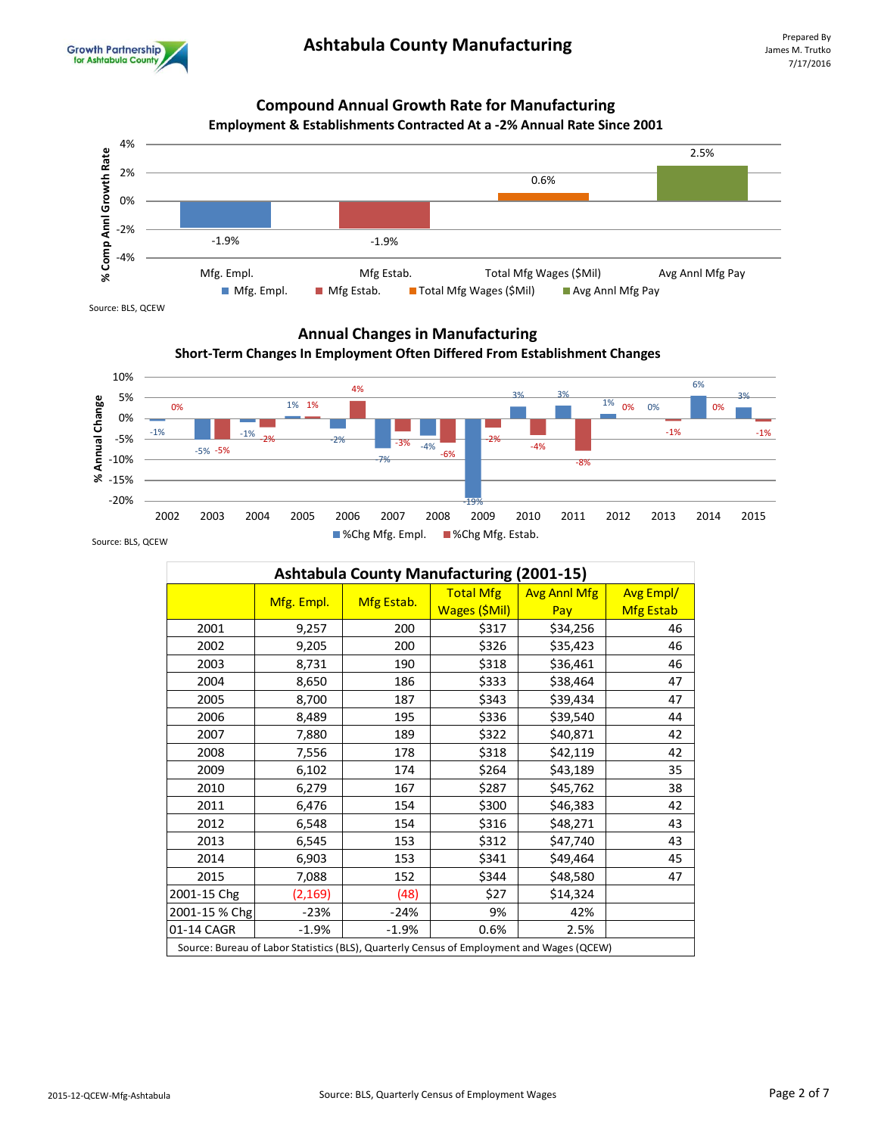

## **Compound Annual Growth Rate for Manufacturing**



Source: BLS, QCEW

## **Annual Changes in Manufacturing**





| <b>Ashtabula County Manufacturing (2001-15)</b>                                           |            |            |                  |                     |                  |
|-------------------------------------------------------------------------------------------|------------|------------|------------------|---------------------|------------------|
|                                                                                           |            |            | <b>Total Mfg</b> | <b>Avg Anni Mfg</b> | <b>Avg Empl/</b> |
|                                                                                           | Mfg. Empl. | Mfg Estab. | Wages (\$Mil)    | Pay                 | <b>Mfg Estab</b> |
| 2001                                                                                      | 9,257      | 200        | \$317            | \$34,256            | 46               |
| 2002                                                                                      | 9,205      | 200        | \$326            | \$35,423            | 46               |
| 2003                                                                                      | 8,731      | 190        | \$318            | \$36,461            | 46               |
| 2004                                                                                      | 8,650      | 186        | \$333            | \$38,464            | 47               |
| 2005                                                                                      | 8,700      | 187        | \$343            | \$39,434            | 47               |
| 2006                                                                                      | 8,489      | 195        | \$336            | \$39,540            | 44               |
| 2007                                                                                      | 7,880      | 189        | \$322            | \$40,871            | 42               |
| 2008                                                                                      | 7,556      | 178        | \$318            | \$42,119            | 42               |
| 2009                                                                                      | 6,102      | 174        | \$264            | \$43,189            | 35               |
| 2010                                                                                      | 6,279      | 167        | \$287            | \$45,762            | 38               |
| 2011                                                                                      | 6,476      | 154        | \$300            | \$46,383            | 42               |
| 2012                                                                                      | 6,548      | 154        | \$316            | \$48,271            | 43               |
| 2013                                                                                      | 6,545      | 153        | \$312            | \$47,740            | 43               |
| 2014                                                                                      | 6,903      | 153        | \$341            | \$49,464            | 45               |
| 2015                                                                                      | 7,088      | 152        | \$344            | \$48,580            | 47               |
| 2001-15 Chg                                                                               | (2, 169)   | (48)       | \$27             | \$14,324            |                  |
| 2001-15 % Chg                                                                             | $-23%$     | $-24%$     | 9%               | 42%                 |                  |
| 01-14 CAGR                                                                                | $-1.9%$    | $-1.9%$    | 0.6%             | 2.5%                |                  |
| Source: Bureau of Labor Statistics (BLS), Quarterly Census of Employment and Wages (QCEW) |            |            |                  |                     |                  |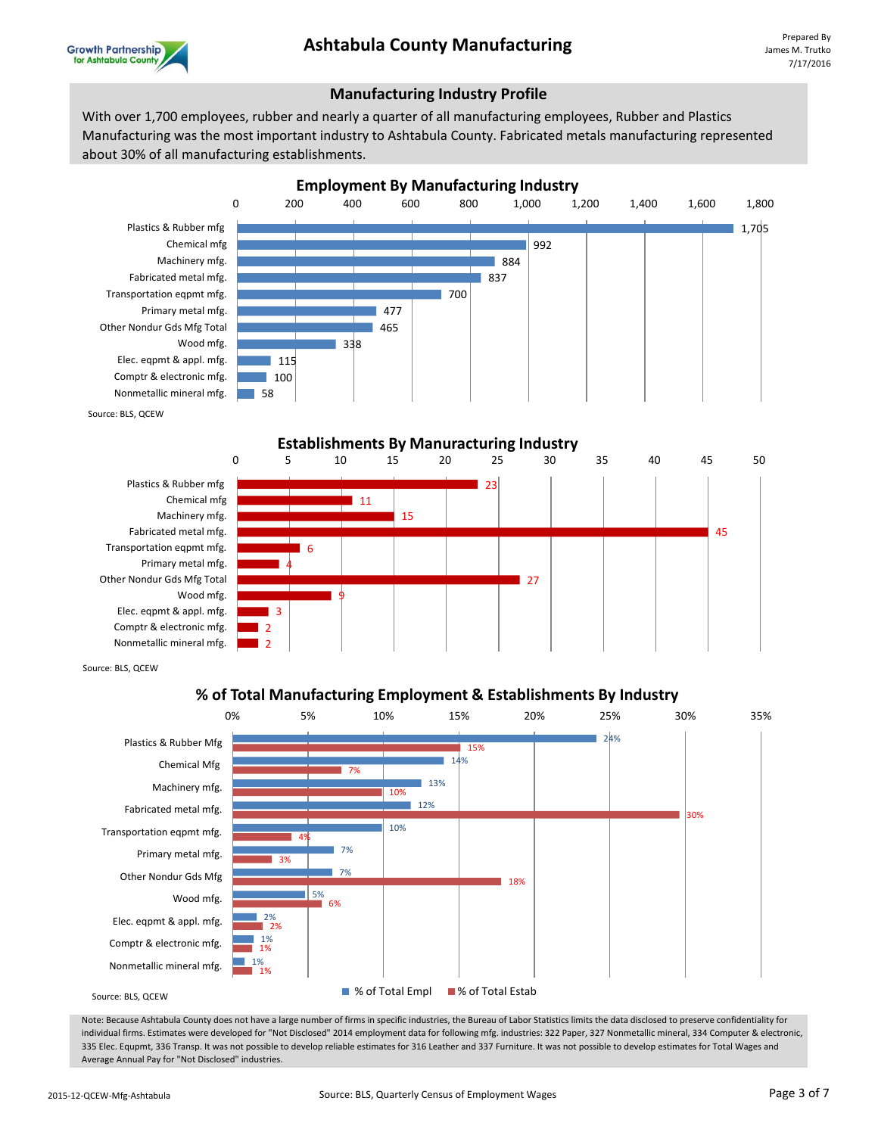



### **Manufacturing Industry Profile**

With over 1,700 employees, rubber and nearly a quarter of all manufacturing employees, Rubber and Plastics Manufacturing was the most important industry to Ashtabula County. Fabricated metals manufacturing represented about 30% of all manufacturing establishments.



Source: BLS, QCEW



Source: BLS, QCEW

### **% of Total Manufacturing Employment & Establishments By Industry**



Note: Because Ashtabula County does not have a large number of firms in specific industries, the Bureau of Labor Statistics limits the data disclosed to preserve confidentiality for individual firms. Estimates were developed for "Not Disclosed" 2014 employment data for following mfg. industries: 322 Paper, 327 Nonmetallic mineral, 334 Computer & electronic, 335 Elec. Equpmt, 336 Transp. It was not possible to develop reliable estimates for 316 Leather and 337 Furniture. It was not possible to develop estimates for Total Wages and Average Annual Pay for "Not Disclosed" industries.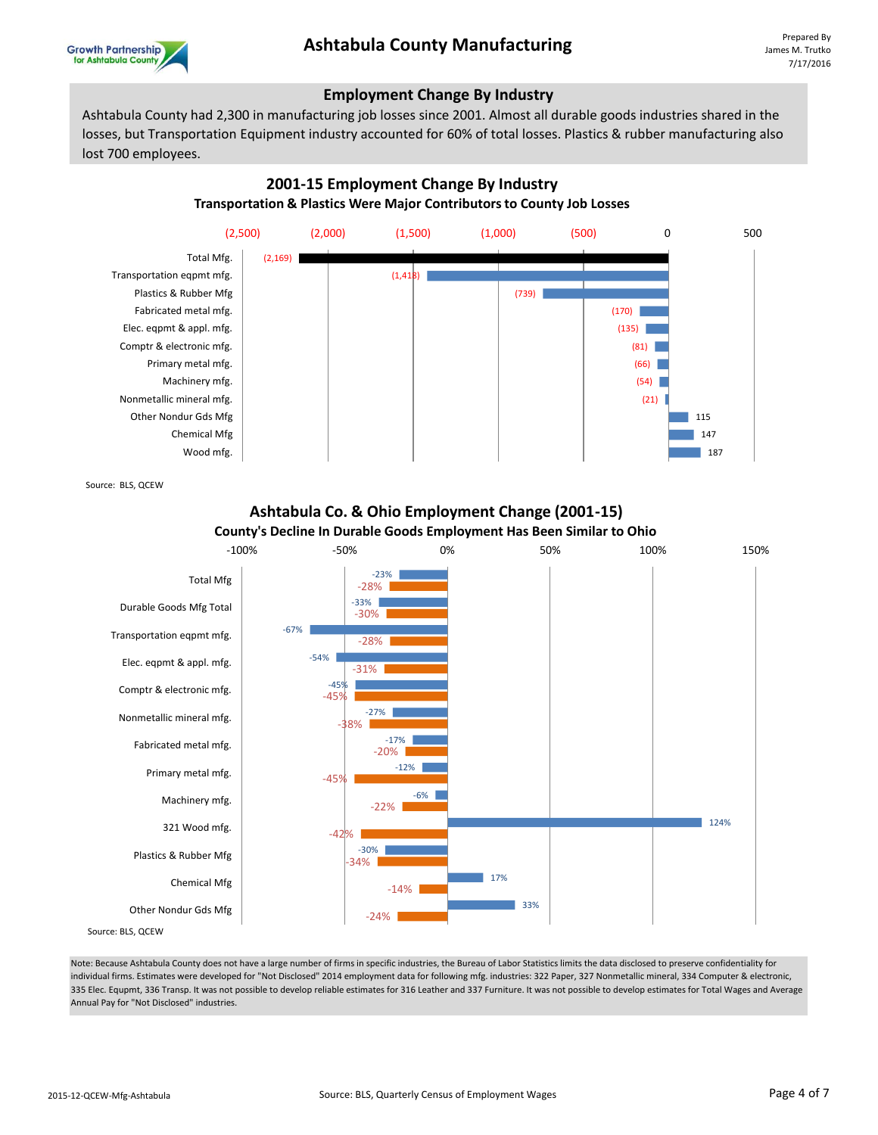

#### **Employment Change By Industry**

Ashtabula County had 2,300 in manufacturing job losses since 2001. Almost all durable goods industries shared in the losses, but Transportation Equipment industry accounted for 60% of total losses. Plastics & rubber manufacturing also lost 700 employees.





Source: BLS, QCEW



**Ashtabula Co. & Ohio Employment Change (2001-15)**

Note: Because Ashtabula County does not have a large number of firms in specific industries, the Bureau of Labor Statistics limits the data disclosed to preserve confidentiality for individual firms. Estimates were developed for "Not Disclosed" 2014 employment data for following mfg. industries: 322 Paper, 327 Nonmetallic mineral, 334 Computer & electronic, 335 Elec. Equpmt, 336 Transp. It was not possible to develop reliable estimates for 316 Leather and 337 Furniture. It was not possible to develop estimates for Total Wages and Average Annual Pay for "Not Disclosed" industries.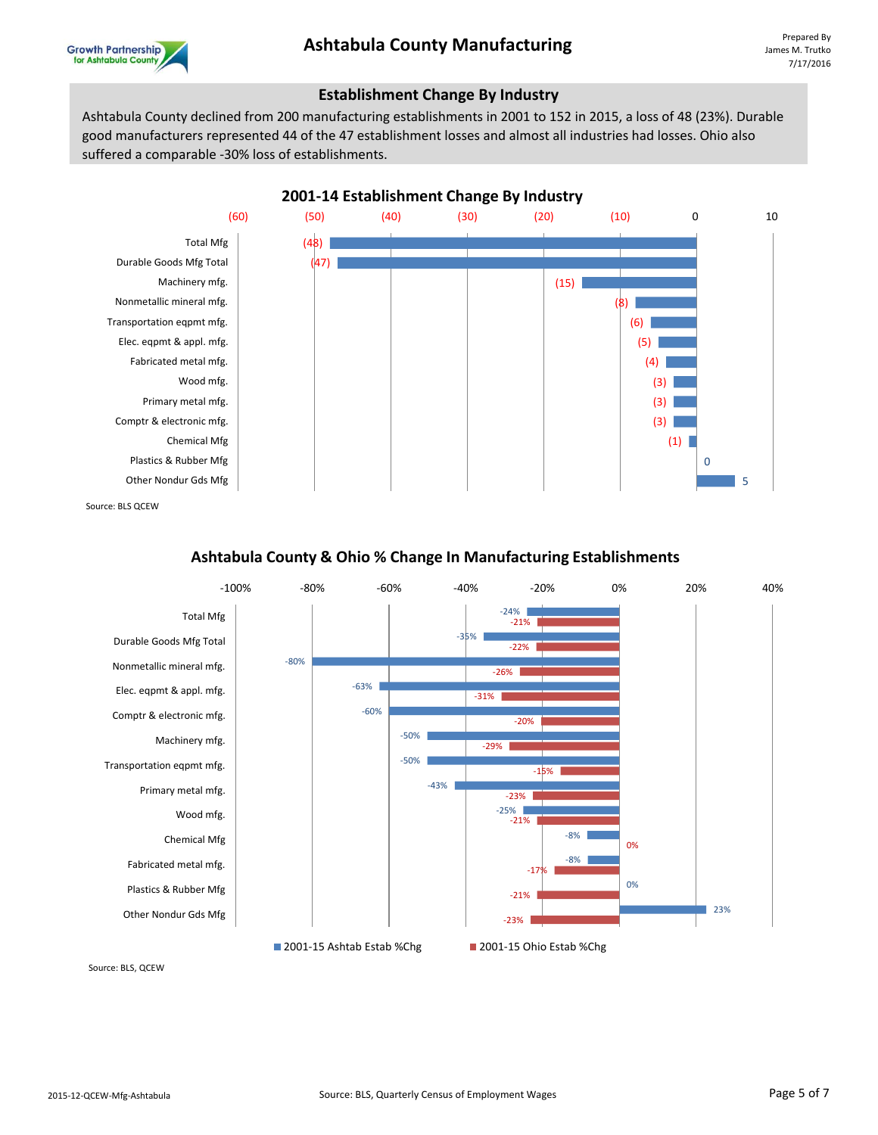

#### **Establishment Change By Industry**

Ashtabula County declined from 200 manufacturing establishments in 2001 to 152 in 2015, a loss of 48 (23%). Durable good manufacturers represented 44 of the 47 establishment losses and almost all industries had losses. Ohio also suffered a comparable -30% loss of establishments.



Source: BLS QCEW

### **Ashtabula County & Ohio % Change In Manufacturing Establishments**



Source: BLS, QCEW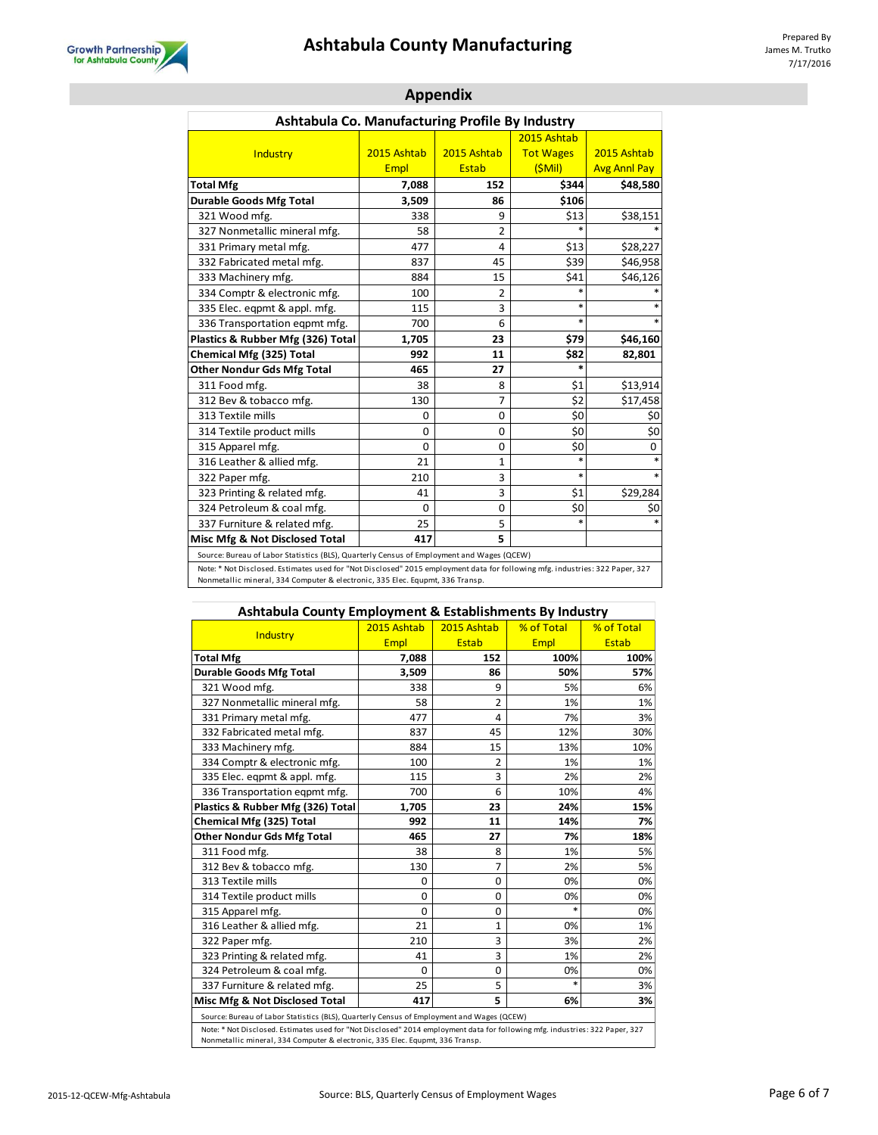# **Ashtabula County Manufacturing** Prepared By Prepared By



| Ashtabula Co. Manufacturing Profile By Industry                                                                                                                                          |             |                |                  |                     |  |
|------------------------------------------------------------------------------------------------------------------------------------------------------------------------------------------|-------------|----------------|------------------|---------------------|--|
|                                                                                                                                                                                          |             |                | 2015 Ashtab      |                     |  |
| Industry                                                                                                                                                                                 | 2015 Ashtab | 2015 Ashtab    | <b>Tot Wages</b> | 2015 Ashtab         |  |
|                                                                                                                                                                                          | <b>Empl</b> | <b>Estab</b>   | (SMil)           | <b>Avg Annl Pay</b> |  |
| <b>Total Mfg</b>                                                                                                                                                                         | 7,088       | 152            | \$344            | \$48,580            |  |
| <b>Durable Goods Mfg Total</b>                                                                                                                                                           | 3,509       | 86             | \$106            |                     |  |
| 321 Wood mfg.                                                                                                                                                                            | 338         | 9              | \$13             | \$38,151            |  |
| 327 Nonmetallic mineral mfg.                                                                                                                                                             | 58          | $\overline{2}$ |                  |                     |  |
| 331 Primary metal mfg.                                                                                                                                                                   | 477         | 4              | \$13             | \$28,227            |  |
| 332 Fabricated metal mfg.                                                                                                                                                                | 837         | 45             | \$39             | \$46,958            |  |
| 333 Machinery mfg.                                                                                                                                                                       | 884         | 15             | \$41             | \$46,126            |  |
| 334 Comptr & electronic mfg.                                                                                                                                                             | 100         | $\overline{2}$ | $\ast$           |                     |  |
| 335 Elec. eqpmt & appl. mfg.                                                                                                                                                             | 115         | 3              | *                |                     |  |
| 336 Transportation eqpmt mfg.                                                                                                                                                            | 700         | 6              | $\ast$           | $\ast$              |  |
| Plastics & Rubber Mfg (326) Total                                                                                                                                                        | 1,705       | 23             | \$79             | \$46,160            |  |
| Chemical Mfg (325) Total                                                                                                                                                                 | 992         | 11             | \$82             | 82,801              |  |
| <b>Other Nondur Gds Mfg Total</b>                                                                                                                                                        | 465         | 27             | $\ast$           |                     |  |
| 311 Food mfg.                                                                                                                                                                            | 38          | 8              | \$1              | \$13,914            |  |
| 312 Bev & tobacco mfg.                                                                                                                                                                   | 130         | $\overline{7}$ | \$2              | \$17,458            |  |
| 313 Textile mills                                                                                                                                                                        | 0           | 0              | \$0              | \$0                 |  |
| 314 Textile product mills                                                                                                                                                                | $\Omega$    | 0              | \$0              | \$0                 |  |
| 315 Apparel mfg.                                                                                                                                                                         | 0           | 0              | \$0              | 0                   |  |
| 316 Leather & allied mfg.                                                                                                                                                                | 21          | $\mathbf{1}$   | $\ast$           | *                   |  |
| 322 Paper mfg.                                                                                                                                                                           | 210         | 3              | $\ast$           | $\ast$              |  |
| 323 Printing & related mfg.                                                                                                                                                              | 41          | 3              | \$1              | \$29,284            |  |
| 324 Petroleum & coal mfg.                                                                                                                                                                | 0           | 0              | \$0              | \$0                 |  |
| 337 Furniture & related mfg.                                                                                                                                                             | 25          | 5              | $\ast$           |                     |  |
| Misc Mfg & Not Disclosed Total                                                                                                                                                           | 417         | 5              |                  |                     |  |
| Source: Bureau of Labor Statistics (BLS), Quarterly Census of Employment and Wages (QCEW)                                                                                                |             |                |                  |                     |  |
| $\mathbf{A}$ and $\mathbf{B}$ and $\mathbf{B}$ and $\mathbf{B}$ are considered in the set of $\mathbf{B}$ and $\mathbf{B}$ and $\mathbf{B}$ are constant in the function of $\mathbf{B}$ |             |                |                  |                     |  |

### **Appendix**

Note: \* Not Disclosed. Estimates used for "Not Disclosed" 2015 employment data for following mfg. industries: 322 Paper, 327<br>Nonmetallic mineral, 334 Computer & electronic, 335 Elec. Equpmt, 336 Transp.

| Ashtawala County Employment & Establishments by maastry                                                                                                                                                       |             |                |             |              |
|---------------------------------------------------------------------------------------------------------------------------------------------------------------------------------------------------------------|-------------|----------------|-------------|--------------|
| Industry                                                                                                                                                                                                      | 2015 Ashtab | 2015 Ashtab    | % of Total  | % of Total   |
|                                                                                                                                                                                                               | <b>Empl</b> | <b>Estab</b>   | <b>Empl</b> | <b>Estab</b> |
| <b>Total Mfg</b>                                                                                                                                                                                              | 7,088       | 152            | 100%        | 100%         |
| <b>Durable Goods Mfg Total</b>                                                                                                                                                                                | 3,509       | 86             | 50%         | 57%          |
| 321 Wood mfg.                                                                                                                                                                                                 | 338         | 9              | 5%          | 6%           |
| 327 Nonmetallic mineral mfg.                                                                                                                                                                                  | 58          | 2              | 1%          | 1%           |
| 331 Primary metal mfg.                                                                                                                                                                                        | 477         | 4              | 7%          | 3%           |
| 332 Fabricated metal mfg.                                                                                                                                                                                     | 837         | 45             | 12%         | 30%          |
| 333 Machinery mfg.                                                                                                                                                                                            | 884         | 15             | 13%         | 10%          |
| 334 Comptr & electronic mfg.                                                                                                                                                                                  | 100         | $\overline{2}$ | 1%          | 1%           |
| 335 Elec. egpmt & appl. mfg.                                                                                                                                                                                  | 115         | 3              | 2%          | 2%           |
| 336 Transportation eqpmt mfg.                                                                                                                                                                                 | 700         | 6              | 10%         | 4%           |
| Plastics & Rubber Mfg (326) Total                                                                                                                                                                             | 1,705       | 23             | 24%         | 15%          |
| Chemical Mfg (325) Total                                                                                                                                                                                      | 992         | 11             | 14%         | 7%           |
| <b>Other Nondur Gds Mfg Total</b>                                                                                                                                                                             | 465         | 27             | 7%          | 18%          |
| 311 Food mfg.                                                                                                                                                                                                 | 38          | 8              | 1%          | 5%           |
| 312 Bev & tobacco mfg.                                                                                                                                                                                        | 130         | 7              | 2%          | 5%           |
| 313 Textile mills                                                                                                                                                                                             | 0           | 0              | 0%          | 0%           |
| 314 Textile product mills                                                                                                                                                                                     | $\Omega$    | $\Omega$       | 0%          | 0%           |
| 315 Apparel mfg.                                                                                                                                                                                              | $\Omega$    | $\Omega$       |             | 0%           |
| 316 Leather & allied mfg.                                                                                                                                                                                     | 21          | 1              | 0%          | 1%           |
| 322 Paper mfg.                                                                                                                                                                                                | 210         | 3              | 3%          | 2%           |
| 323 Printing & related mfg.                                                                                                                                                                                   | 41          | 3              | 1%          | 2%           |
| 324 Petroleum & coal mfg.                                                                                                                                                                                     | $\Omega$    | $\Omega$       | 0%          | 0%           |
| 337 Furniture & related mfg.                                                                                                                                                                                  | 25          | 5              |             | 3%           |
| Misc Mfg & Not Disclosed Total                                                                                                                                                                                | 417         | 5              | 6%          | 3%           |
| Source: Bureau of Labor Statistics (BLS), Quarterly Census of Employment and Wages (QCEW)                                                                                                                     |             |                |             |              |
| Note: * Not Disclosed. Estimates used for "Not Disclosed" 2014 employment data for following mfg. industries: 322 Paper, 327<br>Nonmetallic mineral, 334 Computer & electronic, 335 Elec. Equpmt, 336 Transp. |             |                |             |              |